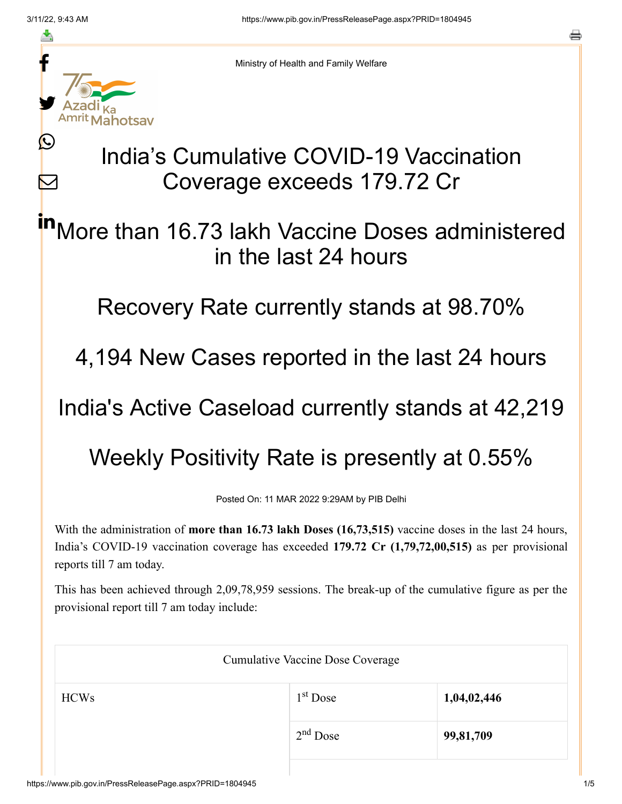≛

Ŀ

 $\bm{\nabla}$ 



Ministry of Health and Family Welfare

## India's Cumulative COVID-19 Vaccination Coverage exceeds 179.72 Cr

More than 16.73 lakh Vaccine Doses administered in the last 24 hours in

Recovery Rate currently stands at 98.70%

4,194 New Cases reported in the last 24 hours

India's Active Caseload currently stands at 42,219

Weekly Positivity Rate is presently at 0.55%

Posted On: 11 MAR 2022 9:29AM by PIB Delhi

With the administration of **more than 16.73 lakh Doses (16,73,515)** vaccine doses in the last 24 hours, India's COVID-19 vaccination coverage has exceeded **179.72 Cr (1,79,72,00,515)** as per provisional reports till 7 am today.

This has been achieved through 2,09,78,959 sessions. The break-up of the cumulative figure as per the provisional report till 7 am today include:

| <b>Cumulative Vaccine Dose Coverage</b> |             |  |  |
|-----------------------------------------|-------------|--|--|
| $1st$ Dose                              | 1,04,02,446 |  |  |
| $2nd$ Dose                              | 99,81,709   |  |  |
|                                         |             |  |  |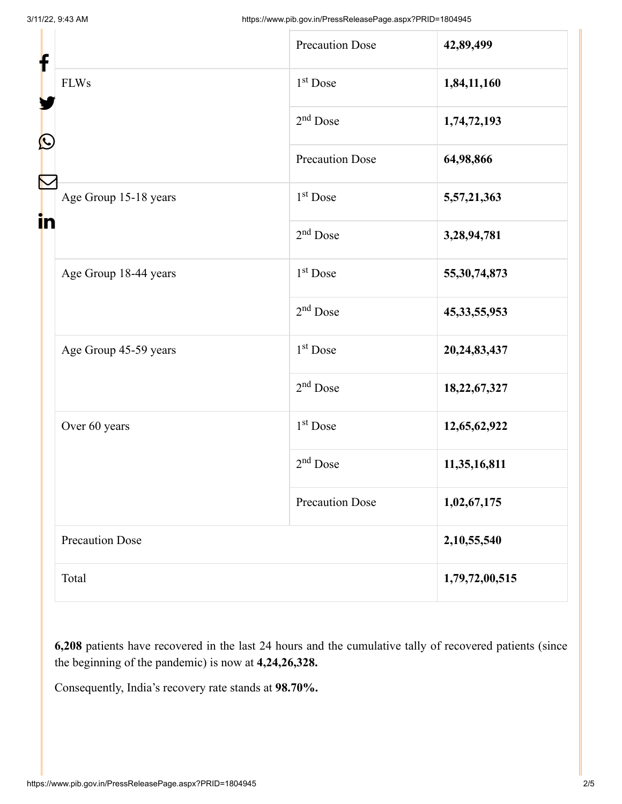| f<br>$\mathbf{\Omega}$<br>in |                        | <b>Precaution Dose</b> | 42,89,499       |
|------------------------------|------------------------|------------------------|-----------------|
|                              | <b>FLWs</b>            | $1st$ Dose             | 1,84,11,160     |
|                              |                        | $2nd$ Dose             | 1,74,72,193     |
|                              |                        | <b>Precaution Dose</b> | 64,98,866       |
|                              | Age Group 15-18 years  | 1 <sup>st</sup> Dose   | 5,57,21,363     |
|                              |                        | $2nd$ Dose             | 3,28,94,781     |
|                              | Age Group 18-44 years  | 1 <sup>st</sup> Dose   | 55, 30, 74, 873 |
|                              |                        | $2nd$ Dose             | 45, 33, 55, 953 |
|                              | Age Group 45-59 years  | $1st$ Dose             | 20, 24, 83, 437 |
|                              |                        | $2nd$ Dose             | 18,22,67,327    |
|                              | Over 60 years          | $1st$ Dose             | 12,65,62,922    |
|                              |                        | $2nd$ Dose             | 11,35,16,811    |
|                              |                        | <b>Precaution Dose</b> | 1,02,67,175     |
|                              | <b>Precaution Dose</b> |                        | 2,10,55,540     |
|                              | Total                  |                        | 1,79,72,00,515  |

**6,208** patients have recovered in the last 24 hours and the cumulative tally of recovered patients (since the beginning of the pandemic) is now at **4,24,26,328.**

Consequently, India's recovery rate stands at **98.70%.**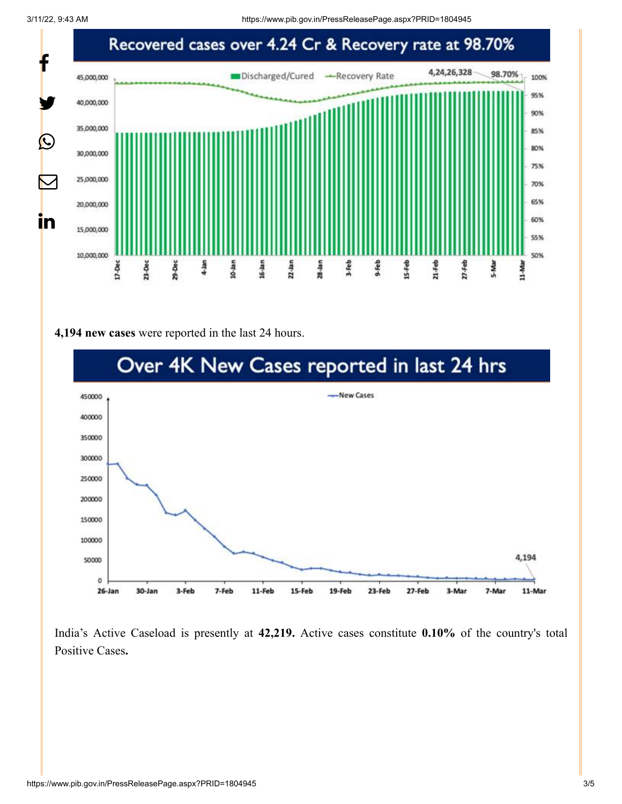

## **4,194 new cases** were reported in the last 24 hours.



India's Active Caseload is presently at **42,219.** Active cases constitute **0.10%** of the country's total Positive Cases**.**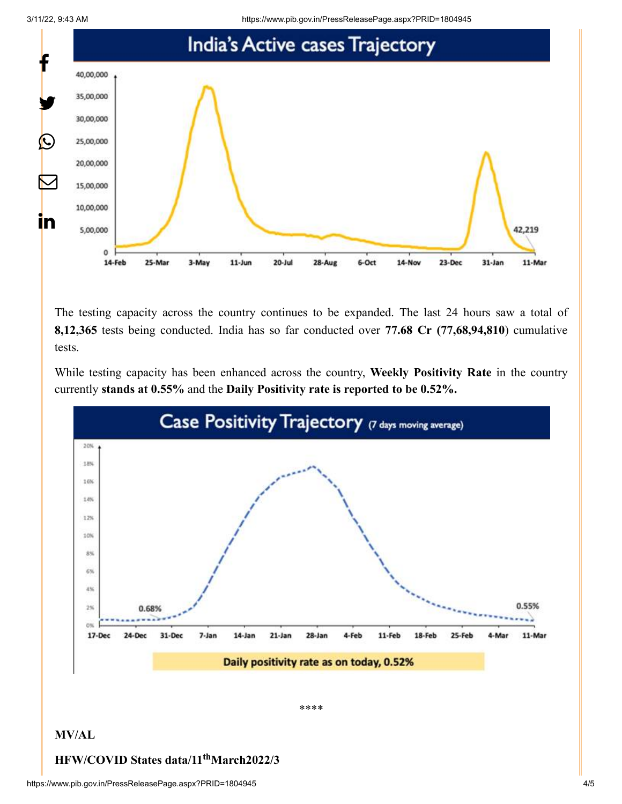3/11/22, 9:43 AM https://www.pib.gov.in/PressReleasePage.aspx?PRID=1804945



The testing capacity across the country continues to be expanded. The last 24 hours saw a total of **8,12,365** tests being conducted. India has so far conducted over **77.68 Cr (77,68,94,810**) cumulative tests.

While testing capacity has been enhanced across the country, **Weekly Positivity Rate** in the country currently **stands at 0.55%** and the **Daily Positivity rate is reported to be 0.52%.**